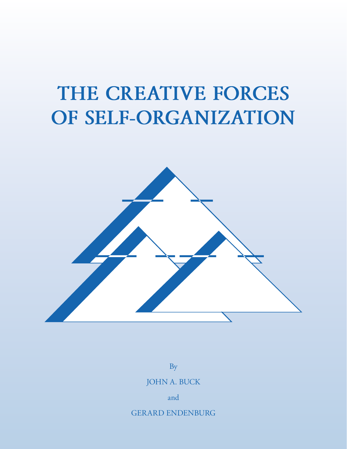# **THE CREATIVE FORCES OF SELF-ORGANIZATION**



By

JOHN A. BUCK

and

GERARD ENDENBURG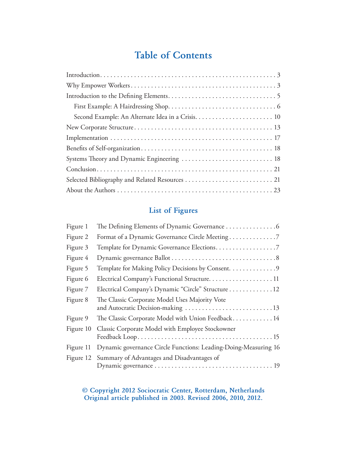### **Table of Contents**

| Systems Theory and Dynamic Engineering  18 |
|--------------------------------------------|
|                                            |
|                                            |
|                                            |

### **List of Figures**

| The Defining Elements of Dynamic Governance 6                                       |
|-------------------------------------------------------------------------------------|
| Format of a Dynamic Governance Circle Meeting7                                      |
|                                                                                     |
|                                                                                     |
| Template for Making Policy Decisions by Consent. 9                                  |
| Electrical Company's Functional Structure11                                         |
| Electrical Company's Dynamic "Circle" Structure 12                                  |
| The Classic Corporate Model Uses Majority Vote<br>and Autocratic Decision-making 13 |
| The Classic Corporate Model with Union Feedback 14                                  |
| Classic Corporate Model with Employee Stockowner                                    |
| Dynamic governance Circle Functions: Leading-Doing-Measuring 16                     |
| Figure 12 Summary of Advantages and Disadvantages of                                |
|                                                                                     |

**© Copyright 2012 Sociocratic Center, Rotterdam, Netherlands Original article published in 2003. Revised 2006, 2010, 2012.**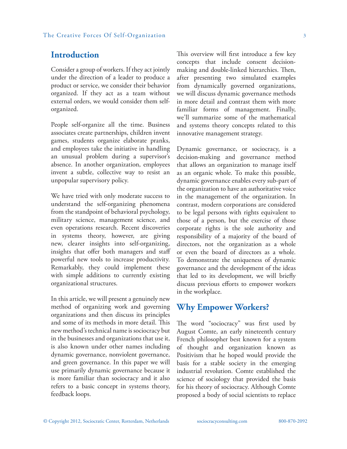### **Introduction**

Consider a group of workers. If they act jointly under the direction of a leader to produce a product or service, we consider their behavior organized. If they act as a team without external orders, we would consider them selforganized.

People self-organize all the time. Business associates create partnerships, children invent games, students organize elaborate pranks, and employees take the initiative in handling an unusual problem during a supervisor's absence. In another organization, employees invent a subtle, collective way to resist an unpopular supervisory policy.

We have tried with only moderate success to understand the self-organizing phenomena from the standpoint of behavioral psychology, military science, management science, and even operations research. Recent discoveries in systems theory, however, are giving new, clearer insights into self-organizing, insights that offer both managers and staff powerful new tools to increase productivity. Remarkably, they could implement these with simple additions to currently existing organizational structures.

In this article, we will present a genuinely new method of organizing work and governing organizations and then discuss its principles and some of its methods in more detail. This new method's technical name is sociocracy but in the businesses and organizations that use it, is also known under other names including dynamic governance, nonviolent governance, and green governance. In this paper we will use primarily dynamic governance because it is more familiar than sociocracy and it also refers to a basic concept in systems theory, feedback loops.

This overview will first introduce a few key concepts that include consent decisionmaking and double-linked hierarchies. Then, after presenting two simulated examples from dynamically governed organizations, we will discuss dynamic governance methods in more detail and contrast them with more familiar forms of management. Finally, we'll summarize some of the mathematical and systems theory concepts related to this innovative management strategy.

Dynamic governance, or sociocracy, is a decision-making and governance method that allows an organization to manage itself as an organic whole. To make this possible, dynamic governance enables every sub-part of the organization to have an authoritative voice in the management of the organization. In contrast, modern corporations are considered to be legal persons with rights equivalent to those of a person, but the exercise of those corporate rights is the sole authority and responsibility of a majority of the board of directors, not the organization as a whole or even the board of directors as a whole. To demonstrate the uniqueness of dynamic governance and the development of the ideas that led to its development, we will briefly discuss previous efforts to empower workers in the workplace.

### **Why Empower Workers?**

The word "sociocracy" was first used by August Comte, an early nineteenth century French philosopher best known for a system of thought and organization known as Positivism that he hoped would provide the basis for a stable society in the emerging industrial revolution. Comte established the science of sociology that provided the basis for his theory of sociocracy. Although Comte proposed a body of social scientists to replace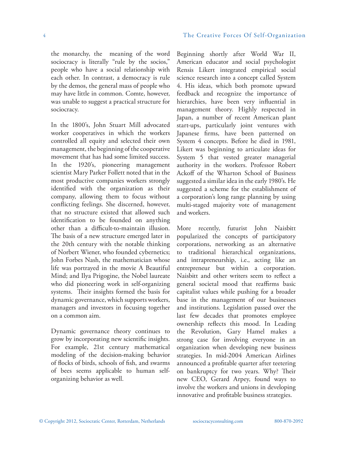the monarchy, the meaning of the word sociocracy is literally "rule by the socios," people who have a social relationship with each other. In contrast, a democracy is rule by the demos, the general mass of people who may have little in common. Comte, however, was unable to suggest a practical structure for sociocracy.

In the 1800's, John Stuart Mill advocated worker cooperatives in which the workers controlled all equity and selected their own management, the beginning of the cooperative movement that has had some limited success. In the 1920's, pioneering management scientist Mary Parker Follett noted that in the most productive companies workers strongly identified with the organization as their company, allowing them to focus without conflicting feelings. She discerned, however, that no structure existed that allowed such identification to be founded on anything other than a difficult-to-maintain illusion. The basis of a new structure emerged later in the 20th century with the notable thinking of Norbert Wiener, who founded cybernetics; John Forbes Nash, the mathematician whose life was portrayed in the movie A Beautiful Mind; and Ilya Prigogine, the Nobel laureate who did pioneering work in self-organizing systems. Their insights formed the basis for dynamic governance, which supports workers, managers and investors in focusing together on a common aim.

Dynamic governance theory continues to grow by incorporating new scientific insights. For example, 21st century mathematical modeling of the decision-making behavior of flocks of birds, schools of fish, and swarms of bees seems applicable to human selforganizing behavior as well.

Beginning shortly after World War II, American educator and social psychologist Rensis Likert integrated empirical social science research into a concept called System 4. His ideas, which both promote upward feedback and recognize the importance of hierarchies, have been very influential in management theory. Highly respected in Japan, a number of recent American plant start-ups, particularly joint ventures with Japanese firms, have been patterned on System 4 concepts. Before he died in 1981, Likert was beginning to articulate ideas for System 5 that vested greater managerial authority in the workers. Professor Robert Ackoff of the Wharton School of Business suggested a similar idea in the early 1980's. He suggested a scheme for the establishment of a corporation's long range planning by using multi-staged majority vote of management and workers.

More recently, futurist John Naisbitt popularized the concepts of participatory corporations, networking as an alternative to traditional hierarchical organizations, and intrapreneurship, i.e., acting like an entrepreneur but within a corporation. Naisbitt and other writers seem to reflect a general societal mood that reaffirms basic capitalist values while pushing for a broader base in the management of our businesses and institutions. Legislation passed over the last few decades that promotes employee ownership reflects this mood. In Leading the Revolution, Gary Hamel makes a strong case for involving everyone in an organization when developing new business strategies. In mid-2004 American Airlines announced a profitable quarter after teetering on bankruptcy for two years. Why? Their new CEO, Gerard Arpey, found ways to involve the workers and unions in developing innovative and profitable business strategies.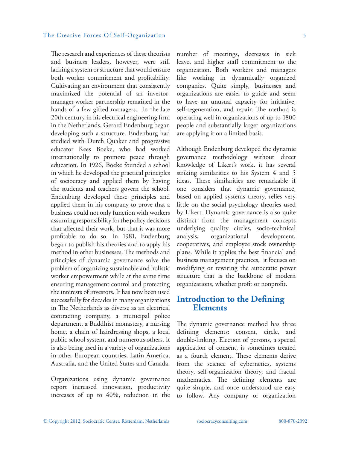#### The Creative Forces Of Self-Organization 5

The research and experiences of these theorists and business leaders, however, were still lacking a system or structure that would ensure both worker commitment and profitability. Cultivating an environment that consistently maximized the potential of an investormanager-worker partnership remained in the hands of a few gifted managers. In the late 20th century in his electrical engineering firm in the Netherlands, Gerard Endenburg began developing such a structure. Endenburg had studied with Dutch Quaker and progressive educator Kees Boeke, who had worked internationally to promote peace through education. In 1926, Boeke founded a school in which he developed the practical principles of sociocracy and applied them by having the students and teachers govern the school. Endenburg developed these principles and applied them in his company to prove that a business could not only function with workers assuming responsibility for the policy decisions that affected their work, but that it was more profitable to do so. In 1981, Endenburg began to publish his theories and to apply his method in other businesses. The methods and principles of dynamic governance solve the problem of organizing sustainable and holistic worker empowerment while at the same time ensuring management control and protecting the interests of investors. It has now been used successfully for decades in many organizations in The Netherlands as diverse as an electrical contracting company, a municipal police department, a Buddhist monastery, a nursing home, a chain of hairdressing shops, a local public school system, and numerous others. It is also being used in a variety of organizations in other European countries, Latin America, Australia, and the United States and Canada.

Organizations using dynamic governance report increased innovation, productivity increases of up to 40%, reduction in the number of meetings, decreases in sick leave, and higher staff commitment to the organization. Both workers and managers like working in dynamically organized companies. Quite simply, businesses and organizations are easier to guide and seem to have an unusual capacity for initiative, self-regeneration, and repair. The method is operating well in organizations of up to 1800 people and substantially larger organizations are applying it on a limited basis.

Although Endenburg developed the dynamic governance methodology without direct knowledge of Likert's work, it has several striking similarities to his System 4 and 5 ideas. These similarities are remarkable if one considers that dynamic governance, based on applied systems theory, relies very little on the social psychology theories used by Likert. Dynamic governance is also quite distinct from the management concepts underlying quality circles, socio-technical analysis, organizational development, cooperatives, and employee stock ownership plans. While it applies the best financial and business management practices, it focuses on modifying or rewiring the autocratic power structure that is the backbone of modern organizations, whether profit or nonprofit.

### **Introduction to the Defining Elements**

The dynamic governance method has three defining elements: consent, circle, and double-linking. Election of persons, a special application of consent, is sometimes treated as a fourth element. These elements derive from the science of cybernetics, systems theory, self-organization theory, and fractal mathematics. The defining elements are quite simple, and once understood are easy to follow. Any company or organization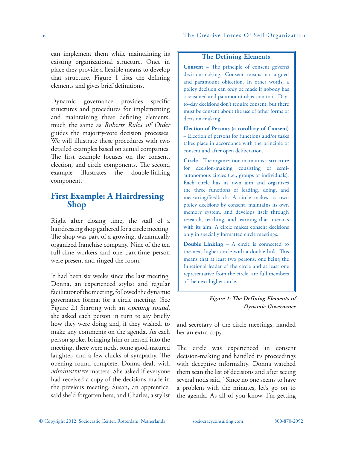can implement them while maintaining its existing organizational structure. Once in place they provide a flexible means to develop that structure. Figure 1 lists the defining elements and gives brief definitions.

Dynamic governance provides specific structures and procedures for implementing and maintaining these defining elements, much the same as *Roberts Rules of Order*  guides the majority-vote decision processes. We will illustrate these procedures with two detailed examples based on actual companies. The first example focuses on the consent, election, and circle components. The second example illustrates the double-linking component.

## **First Example: A Hairdressing Shop**

Right after closing time, the staff of a hairdressing shop gathered for a circle meeting. The shop was part of a growing, dynamically organized franchise company. Nine of the ten full-time workers and one part-time person were present and ringed the room.

It had been six weeks since the last meeting. Donna, an experienced stylist and regular facilitator of the meeting, followed the dynamic governance format for a circle meeting. (See Figure 2.) Starting with an *opening round*, she asked each person in turn to say briefly how they were doing and, if they wished, to make any comments on the agenda. As each person spoke, bringing him or herself into the meeting, there were nods, some good-natured laughter, and a few clucks of sympathy. The opening round complete, Donna dealt with *administrative* matters. She asked if everyone had received a copy of the decisions made in the previous meeting. Susan, an apprentice, said she'd forgotten hers, and Charles, a stylist

### **The Defining Elements**

**Consent** – The principle of consent governs decision-making. Consent means no argued and paramount objection. In other words, a policy decision can only be made if nobody has a reasoned and paramount objection to it. Dayto-day decisions don't require consent, but there must be consent about the use of other forms of decision-making.

**Election of Persons (a corollary of Consent)** – Election of persons for functions and/or tasks takes place in accordance with the principle of consent and after open deliberation.

**Circle** – The organization maintains a structure for decision-making consisting of semiautonomous circles (i.e., groups of individuals). Each circle has its own aim and organizes the three functions of leading, doing, and measuring/feedback. A circle makes its own policy decisions by consent, maintains its own memory system, and develops itself through research, teaching, and learning that interacts with its aim. A circle makes consent decisions only in specially formatted circle meetings.

**Double Linking** – A circle is connected to the next higher circle with a double link. This means that at least two persons, one being the functional leader of the circle and at least one representative from the circle, are full members of the next higher circle.

and secretary of the circle meetings, handed her an extra copy.

The circle was experienced in consent decision-making and handled its proceedings with deceptive informality. Donna watched them scan the list of decisions and after seeing several nods said, "Since no one seems to have a problem with the minutes, let's go on to the agenda. As all of you know, I'm getting

*Figure 1: The Defining Elements of Dynamic Governance*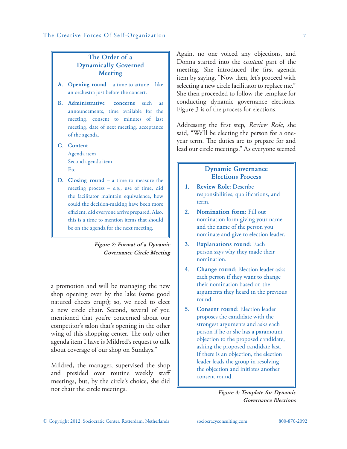### **The Order of a Dynamically Governed Meeting**

- **A. Opening round** a time to attune like an orchestra just before the concert.
- **B. Administrative concerns** such as announcements, time available for the meeting, consent to minutes of last meeting, date of next meeting, acceptance of the agenda.
- **C. Content**

Agenda item Second agenda item Etc.

**D. Closing round** – a time to measure the meeting process – e.g., use of time, did the facilitator maintain equivalence, how could the decision-making have been more efficient, did everyone arrive prepared. Also, this is a time to mention items that should be on the agenda for the next meeting.

### *Figure 2: Format of a Dynamic Governance Circle Meeting*

a promotion and will be managing the new shop opening over by the lake (some good natured cheers erupt); so, we need to elect a new circle chair. Second, several of you mentioned that you're concerned about our competitor's salon that's opening in the other wing of this shopping center. The only other agenda item I have is Mildred's request to talk about coverage of our shop on Sundays."

Mildred, the manager, supervised the shop and presided over routine weekly staff meetings, but, by the circle's choice, she did not chair the circle meetings.

Again, no one voiced any objections, and Donna started into the *content* part of the meeting. She introduced the first agenda item by saying, "Now then, let's proceed with selecting a new circle facilitator to replace me." She then proceeded to follow the template for conducting dynamic governance elections. Figure 3 is of the process for elections.

Addressing the first step, *Review Role*, she said, "We'll be electing the person for a oneyear term. The duties are to prepare for and lead our circle meetings." As everyone seemed

### **Dynamic Governance Elections Process**

- **1. Review Role**: Describe responsibilities, qualifications, and term.
- **2. Nomination form**: Fill out nomination form giving your name and the name of the person you nominate and give to election leader.
- **3. Explanations round**: Each person says why they made their nomination.
- **4. Change round**: Election leader asks each person if they want to change their nomination based on the arguments they heard in the previous round.
- **5. Consent round**: Election leader proposes the candidate with the strongest arguments and asks each person if he or she has a paramount objection to the proposed candidate, asking the proposed candidate last. If there is an objection, the election leader leads the group in resolving the objection and initiates another consent round.

*Figure 3: Template for Dynamic Governance Elections*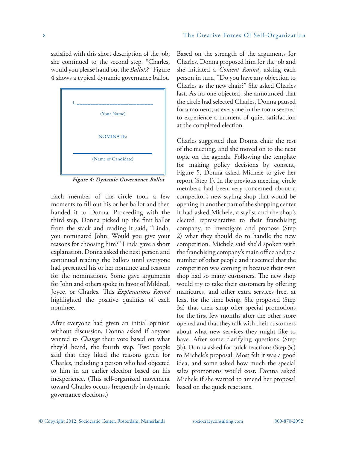satisfied with this short description of the job, she continued to the second step. "Charles, would you please hand out the *Ballots*?" Figure 4 shows a typical dynamic governance ballot.



*Figure 4: Dynamic Governance Ballot*

Each member of the circle took a few moments to fill out his or her ballot and then handed it to Donna. Proceeding with the third step, Donna picked up the first ballot from the stack and reading it said, "Linda, you nominated John. Would you give your reasons for choosing him?" Linda gave a short explanation. Donna asked the next person and continued reading the ballots until everyone had presented his or her nominee and reasons for the nominations. Some gave arguments for John and others spoke in favor of Mildred, Joyce, or Charles. This *Explanations Round*  highlighted the positive qualities of each nominee.

After everyone had given an initial opinion without discussion, Donna asked if anyone wanted to *Change* their vote based on what they'd heard, the fourth step. Two people said that they liked the reasons given for Charles, including a person who had objected to him in an earlier election based on his inexperience. (This self-organized movement toward Charles occurs frequently in dynamic governance elections.)

Based on the strength of the arguments for Charles, Donna proposed him for the job and she initiated a *Consent Round*, asking each person in turn, "Do you have any objection to Charles as the new chair?" She asked Charles last. As no one objected, she announced that the circle had selected Charles. Donna paused for a moment, as everyone in the room seemed to experience a moment of quiet satisfaction at the completed election.

Charles suggested that Donna chair the rest of the meeting, and she moved on to the next topic on the agenda. Following the template for making policy decisions by consent, Figure 5, Donna asked Michele to give her report (Step 1). In the previous meeting, circle members had been very concerned about a competitor's new styling shop that would be opening in another part of the shopping center It had asked Michele, a stylist and the shop's elected representative to their franchising company, to investigate and propose (Step 2) what they should do to handle the new competition. Michele said she'd spoken with the franchising company's main office and to a number of other people and it seemed that the competition was coming in because their own shop had so many customers. The new shop would try to take their customers by offering manicures, and other extra services free, at least for the time being. She proposed (Step 3a) that their shop offer special promotions for the first few months after the other store opened and that they talk with their customers about what new services they might like to have. After some clarifying questions (Step 3b), Donna asked for quick reactions (Step 3c) to Michele's proposal. Most felt it was a good idea, and some asked how much the special sales promotions would cost. Donna asked Michele if she wanted to amend her proposal based on the quick reactions.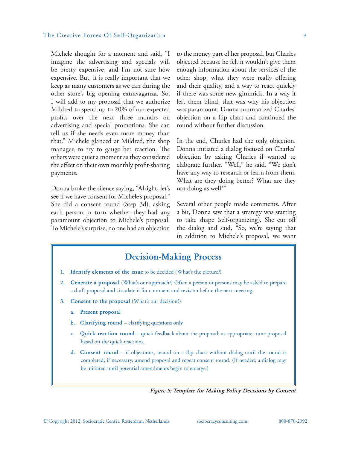### The Creative Forces Of Self-Organization 9

Michele thought for a moment and said, "I imagine the advertising and specials will be pretty expensive, and I'm not sure how expensive. But, it is really important that we keep as many customers as we can during the other store's big opening extravaganza. So, I will add to my proposal that we authorize Mildred to spend up to 20% of our expected profits over the next three months on advertising and special promotions. She can tell us if she needs even more money than that." Michele glanced at Mildred, the shop manager, to try to gauge her reaction. The others were quiet a moment as they considered the effect on their own monthly profit-sharing payments.

Donna broke the silence saying, "Alright, let's see if we have consent for Michele's proposal." She did a consent round (Step 3d), asking each person in turn whether they had any paramount objection to Michele's proposal. To Michele's surprise, no one had an objection

to the money part of her proposal, but Charles objected because he felt it wouldn't give them enough information about the services of the other shop, what they were really offering and their quality, and a way to react quickly if there was some new gimmick. In a way it left them blind, that was why his objection was paramount. Donna summarized Charles' objection on a flip chart and continued the round without further discussion.

In the end, Charles had the only objection. Donna initiated a dialog focused on Charles' objection by asking Charles if wanted to elaborate further. "Well," he said, "We don't have any way to research or learn from them. What are they doing better? What are they not doing as well?"

Several other people made comments. After a bit, Donna saw that a strategy was starting to take shape (self-organizing). She cut off the dialog and said, "So, we're saying that in addition to Michele's proposal, we want

### **Decision-Making Process**

- **1. Identify elements of the issue** to be decided (What's the picture?)
- **2. Generate a proposal** (What's our approach?) Often a person or persons may be asked to prepare a draft proposal and circulate it for comment and revision before the next meeting.
- **3. Consent to the proposal** (What's our decision?)
	- **a. Present proposal**
	- **b.** Clarifying round clarifying questions only
	- **c. Quick reaction round** quick feedback about the proposal; as appropriate, tune proposal based on the quick reactions.
	- **d. Consent round** if objections, record on a flip chart without dialog until the round is completed; if necessary, amend proposal and repeat consent round. (If needed, a dialog may be initiated until potential amendments begin to emerge.)

*Figure 5: Template for Making Policy Decisions by Consent*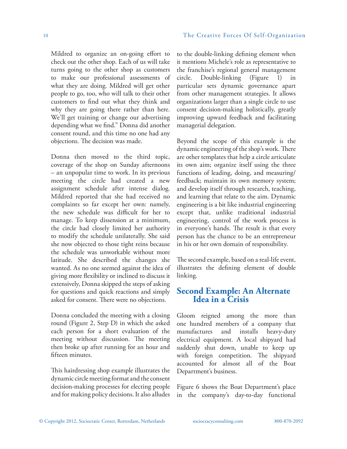Mildred to organize an on-going effort to check out the other shop. Each of us will take turns going to the other shop as customers to make our professional assessments of what they are doing. Mildred will get other people to go, too, who will talk to their other customers to find out what they think and why they are going there rather than here. We'll get training or change our advertising depending what we find." Donna did another consent round, and this time no one had any objections. The decision was made.

Donna then moved to the third topic, coverage of the shop on Sunday afternoons – an unpopular time to work. In its previous meeting the circle had created a new assignment schedule after intense dialog. Mildred reported that she had received no complaints so far except her own: namely, the new schedule was difficult for her to manage. To keep dissension at a minimum, the circle had closely limited her authority to modify the schedule unilaterally. She said she now objected to those tight reins because the schedule was unworkable without more latitude. She described the changes she wanted. As no one seemed against the idea of giving more flexibility or inclined to discuss it extensively, Donna skipped the steps of asking for questions and quick reactions and simply asked for consent. There were no objections.

Donna concluded the meeting with a closing round (Figure 2, Step D) in which she asked each person for a short evaluation of the meeting without discussion. The meeting then broke up after running for an hour and fifteen minutes.

This hairdressing shop example illustrates the dynamic circle meeting format and the consent decision-making processes for electing people and for making policy decisions. It also alludes

to the double-linking defining element when it mentions Michele's role as representative to the franchise's regional general management circle. Double-linking (Figure 1) in particular sets dynamic governance apart from other management strategies. It allows organizations larger than a single circle to use consent decision-making holistically, greatly improving upward feedback and facilitating managerial delegation.

Beyond the scope of this example is the dynamic engineering of the shop's work. There are other templates that help a circle articulate its own aim; organize itself using the three functions of leading, doing, and measuring/ feedback; maintain its own memory system; and develop itself through research, teaching, and learning that relate to the aim. Dynamic engineering is a bit like industrial engineering except that, unlike traditional industrial engineering, control of the work process is in everyone's hands. The result is that every person has the chance to be an entrepreneur in his or her own domain of responsibility.

The second example, based on a real-life event, illustrates the defining element of double linking.

## **Second Example: An Alternate Idea in a Crisis**

Gloom reigned among the more than one hundred members of a company that manufactures and installs heavy-duty electrical equipment. A local shipyard had suddenly shut down, unable to keep up with foreign competition. The shipyard accounted for almost all of the Boat Department's business.

Figure 6 shows the Boat Department's place in the company's day-to-day functional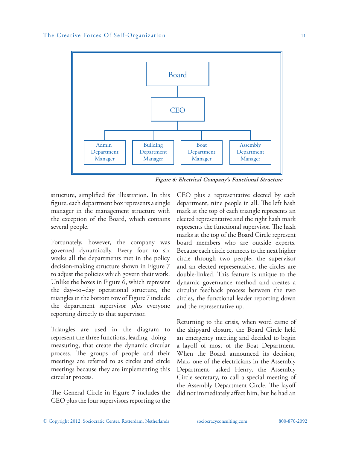

*Figure 6: Electrical Company's Functional Structure*

structure, simplified for illustration. In this figure, each department box represents a single manager in the management structure with the exception of the Board, which contains several people.

Fortunately, however, the company was governed dynamically. Every four to six weeks all the departments met in the policy decision-making structure shown in Figure 7 to adjust the policies which govern their work. Unlike the boxes in Figure 6, which represent the day–to–day operational structure, the triangles in the bottom row of Figure 7 include the department supervisor *plus* everyone reporting directly to that supervisor.

Triangles are used in the diagram to represent the three functions, leading–doing– measuring, that create the dynamic circular process. The groups of people and their meetings are referred to as circles and circle meetings because they are implementing this circular process.

The General Circle in Figure 7 includes the CEO plus the four supervisors reporting to the

CEO plus a representative elected by each department, nine people in all. The left hash mark at the top of each triangle represents an elected representative and the right hash mark represents the functional supervisor. The hash marks at the top of the Board Circle represent board members who are outside experts. Because each circle connects to the next higher circle through two people, the supervisor and an elected representative, the circles are double-linked. This feature is unique to the dynamic governance method and creates a circular feedback process between the two circles, the functional leader reporting down and the representative up.

Returning to the crisis, when word came of the shipyard closure, the Board Circle held an emergency meeting and decided to begin a layoff of most of the Boat Department. When the Board announced its decision, Max, one of the electricians in the Assembly Department, asked Henry, the Assembly Circle secretary, to call a special meeting of the Assembly Department Circle. The layoff did not immediately affect him, but he had an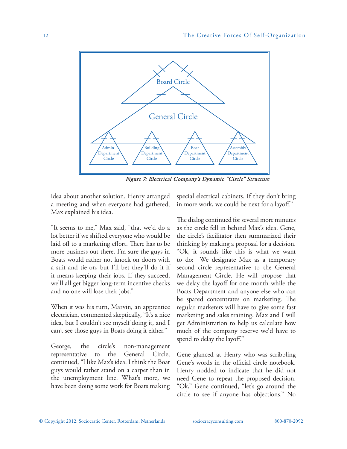

*Figure 7: Electrical Company's Dynamic "Circle" Structure* 

idea about another solution. Henry arranged a meeting and when everyone had gathered, Max explained his idea.

"It seems to me," Max said, "that we'd do a lot better if we shifted everyone who would be laid off to a marketing effort. There has to be more business out there. I'm sure the guys in Boats would rather not knock on doors with a suit and tie on, but I'll bet they'll do it if it means keeping their jobs. If they succeed, we'll all get bigger long-term incentive checks and no one will lose their jobs."

When it was his turn, Marvin, an apprentice electrician, commented skeptically, "It's a nice idea, but I couldn't see myself doing it, and I can't see those guys in Boats doing it either."

George, the circle's non-management representative to the General Circle, continued, "I like Max's idea. I think the Boat guys would rather stand on a carpet than in the unemployment line. What's more, we have been doing some work for Boats making

special electrical cabinets. If they don't bring in more work, we could be next for a layoff."

The dialog continued for several more minutes as the circle fell in behind Max's idea. Gene, the circle's facilitator then summarized their thinking by making a proposal for a decision. "Ok, it sounds like this is what we want to do: We designate Max as a temporary second circle representative to the General Management Circle. He will propose that we delay the layoff for one month while the Boats Department and anyone else who can be spared concentrates on marketing. The regular marketers will have to give some fast marketing and sales training. Max and I will get Administration to help us calculate how much of the company reserve we'd have to spend to delay the layoff."

Gene glanced at Henry who was scribbling Gene's words in the official circle notebook. Henry nodded to indicate that he did not need Gene to repeat the proposed decision. "Ok," Gene continued, "let's go around the circle to see if anyone has objections." No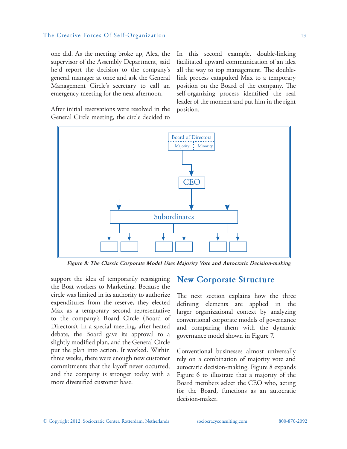#### The Creative Forces Of Self-Organization 13

one did. As the meeting broke up, Alex, the supervisor of the Assembly Department, said he'd report the decision to the company's general manager at once and ask the General Management Circle's secretary to call an emergency meeting for the next afternoon.

In this second example, double-linking facilitated upward communication of an idea all the way to top management. The doublelink process catapulted Max to a temporary position on the Board of the company. The self-organizing process identified the real leader of the moment and put him in the right position.

After initial reservations were resolved in the General Circle meeting, the circle decided to



*Figure 8: The Classic Corporate Model Uses Majority Vote and Autocratic Decision-making*

support the idea of temporarily reassigning the Boat workers to Marketing. Because the circle was limited in its authority to authorize expenditures from the reserve, they elected Max as a temporary second representative to the company's Board Circle (Board of Directors). In a special meeting, after heated debate, the Board gave its approval to a slightly modified plan, and the General Circle put the plan into action. It worked. Within three weeks, there were enough new customer commitments that the layoff never occurred, and the company is stronger today with a more diversified customer base.

### **New Corporate Structure**

The next section explains how the three defining elements are applied in the larger organizational context by analyzing conventional corporate models of governance and comparing them with the dynamic governance model shown in Figure 7.

Conventional businesses almost universally rely on a combination of majority vote and autocratic decision-making. Figure 8 expands Figure 6 to illustrate that a majority of the Board members select the CEO who, acting for the Board, functions as an autocratic decision-maker.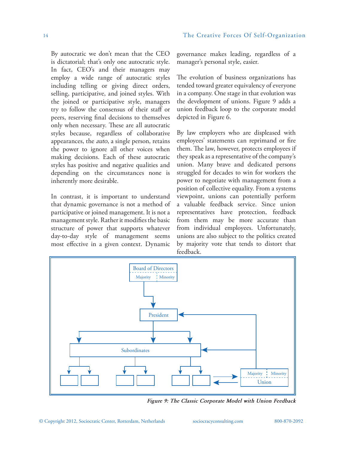By autocratic we don't mean that the CEO is dictatorial; that's only one autocratic style. In fact, CEO's and their managers may employ a wide range of autocratic styles including telling or giving direct orders, selling, participative, and joined styles. With the joined or participative style, managers try to follow the consensus of their staff or peers, reserving final decisions to themselves only when necessary. These are all autocratic styles because, regardless of collaborative appearances, the *auto*, a single person, retains the power to ignore all other voices when making decisions. Each of these autocratic styles has positive and negative qualities and depending on the circumstances none is inherently more desirable.

In contrast, it is important to understand that dynamic governance is not a method of participative or joined management. It is not a management style. Rather it modifies the basic structure of power that supports whatever day-to-day style of management seems most effective in a given context. Dynamic

governance makes leading, regardless of a manager's personal style, easier.

The evolution of business organizations has tended toward greater equivalency of everyone in a company. One stage in that evolution was the development of unions. Figure 9 adds a union feedback loop to the corporate model depicted in Figure 6.

By law employers who are displeased with employees' statements can reprimand or fire them. The law, however, protects employees if they speak as a representative of the company's union. Many brave and dedicated persons struggled for decades to win for workers the power to negotiate with management from a position of collective equality. From a systems viewpoint, unions can potentially perform a valuable feedback service. Since union representatives have protection, feedback from them may be more accurate than from individual employees. Unfortunately, unions are also subject to the politics created by majority vote that tends to distort that feedback.



*Figure 9: The Classic Corporate Model with Union Feedback*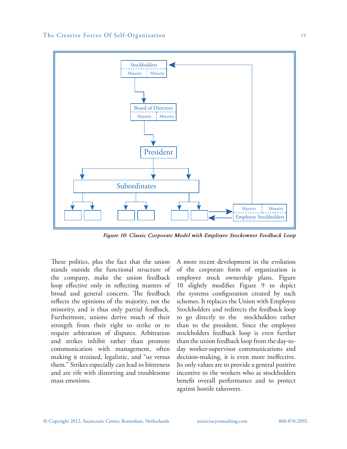

*Figure 10: Classic Corporate Model with Employee Stockowner Feedback Loop*

These politics, plus the fact that the union stands outside the functional structure of the company, make the union feedback loop effective only in reflecting matters of broad and general concern. The feedback reflects the opinions of the majority, not the minority, and is thus only partial feedback. Furthermore, unions derive much of their strength from their right to strike or to require arbitration of disputes. Arbitration and strikes inhibit rather than promote communication with management, often making it strained, legalistic, and "us versus them." Strikes especially can lead to bitterness and are rife with distorting and troublesome mass emotions.

A more recent development in the evolution of the corporate form of organization is employee stock ownership plans. Figure 10 slightly modifies Figure 9 to depict the systems configuration created by such schemes. It replaces the Union with Employee Stockholders and redirects the feedback loop to go directly to the stockholders rather than to the president. Since the employee stockholders feedback loop is even further than the union feedback loop from the day-today worker-supervisor communications and decision-making, it is even more ineffective. Its only values are to provide a general positive incentive to the workers who as stockholders benefit overall performance and to protect against hostile takeovers.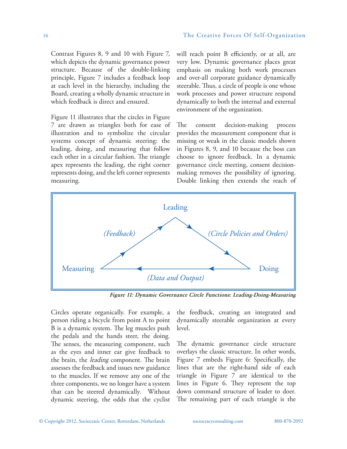Contrast Figures 8, 9 and 10 with Figure 7, which depicts the dynamic governance power structure. Because of the double-linking principle, Figure 7 includes a feedback loop at each level in the hierarchy, including the Board, creating a wholly dynamic structure in which feedback is direct and ensured.

Figure 11 illustrates that the circles in Figure 7 are drawn as triangles both for ease of illustration and to symbolize the circular systems concept of dynamic steering: the leading, doing, and measuring that follow each other in a circular fashion. The triangle apex represents the leading, the right corner represents doing, and the left corner represents measuring.

will reach point B efficiently, or at all, are very low. Dynamic governance places great emphasis on making both work processes and over-all corporate guidance dynamically steerable. Thus, a circle of people is one whose work processes and power structure respond dynamically to both the internal and external environment of the organization.

The consent decision-making process provides the measurement component that is missing or weak in the classic models shown in Figures 8, 9, and 10 because the boss can choose to ignore feedback. In a dynamic governance circle meeting, consent decisionmaking removes the possibility of ignoring. Double linking then extends the reach of



*Figure 11: Dynamic Governance Circle Functions: Leading-Doing-Measuring*

Circles operate organically. For example, a person riding a bicycle from point A to point B is a dynamic system. The leg muscles push the pedals and the hands steer, the doing. The senses, the measuring component, such as the eyes and inner ear give feedback to the brain, the *leading* component. The brain assesses the feedback and issues new guidance to the muscles. If we remove any one of the three components, we no longer have a system that can be steered dynamically. Without dynamic steering, the odds that the cyclist

the feedback, creating an integrated and dynamically steerable organization at every level.

The dynamic governance circle structure overlays the classic structure. In other words, Figure 7 embeds Figure 6: Specifically, the lines that are the right-hand side of each triangle in Figure 7 are identical to the lines in Figure 6. They represent the top down command structure of leader to doer. The remaining part of each triangle is the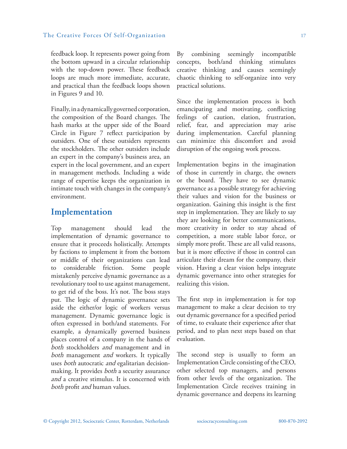#### The Creative Forces Of Self-Organization 17

feedback loop. It represents power going from the bottom upward in a circular relationship with the top-down power. These feedback loops are much more immediate, accurate, and practical than the feedback loops shown in Figures 9 and 10.

Finally, in a dynamically governed corporation, the composition of the Board changes. The hash marks at the upper side of the Board Circle in Figure 7 reflect participation by outsiders. One of these outsiders represents the stockholders. The other outsiders include an expert in the company's business area, an expert in the local government, and an expert in management methods. Including a wide range of expertise keeps the organization in intimate touch with changes in the company's environment.

### **Implementation**

Top management should lead the implementation of dynamic governance to ensure that it proceeds holistically. Attempts by factions to implement it from the bottom or middle of their organizations can lead to considerable friction. Some people mistakenly perceive dynamic governance as a revolutionary tool to use against management, to get rid of the boss. It's not. The boss stays put. The logic of dynamic governance sets aside the either/or logic of workers versus management. Dynamic governance logic is often expressed in both/and statements. For example, a dynamically governed business places control of a company in the hands of *both* stockholders *and* management and in *both* management *and* workers. It typically uses *both* autocratic *and* egalitarian decisionmaking. It provides *both* a security assurance *and* a creative stimulus. It is concerned with *both* profit *and* human values.

By combining seemingly incompatible concepts, both/and thinking stimulates creative thinking and causes seemingly chaotic thinking to self-organize into very practical solutions.

Since the implementation process is both emancipating and motivating, conflicting feelings of caution, elation, frustration, relief, fear, and appreciation may arise during implementation. Careful planning can minimize this discomfort and avoid disruption of the ongoing work process.

Implementation begins in the imagination of those in currently in charge, the owners or the board. They have to see dynamic governance as a possible strategy for achieving their values and vision for the business or organization. Gaining this insight is the first step in implementation. They are likely to say they are looking for better communications, more creativity in order to stay ahead of competition, a more stable labor force, or simply more profit. These are all valid reasons, but it is more effective if those in control can articulate their dream for the company, their vision. Having a clear vision helps integrate dynamic governance into other strategies for realizing this vision.

The first step in implementation is for top management to make a clear decision to try out dynamic governance for a specified period of time, to evaluate their experience after that period, and to plan next steps based on that evaluation.

The second step is usually to form an Implementation Circle consisting of the CEO, other selected top managers, and persons from other levels of the organization. The Implementation Circle receives training in dynamic governance and deepens its learning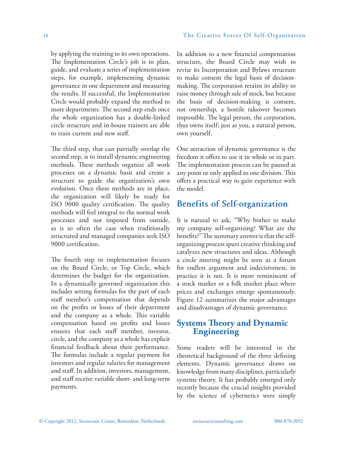by applying the training to its own operations. The Implementation Circle's job is to plan, guide, and evaluate a series of implementation steps, for example, implementing dynamic governance in one department and measuring the results. If successful, the Implementation Circle would probably expand the method to more departments. The second step ends once the whole organization has a double-linked circle structure and in-house trainers are able to train current and new staff.

The third step, that can partially overlap the second step, is to install dynamic engineering methods. These methods organize all work processes on a dynamic basis and create a structure to guide the organization's own evolution. Once these methods are in place, the organization will likely be ready for ISO 9000 quality certification. The quality methods will feel integral to the normal work processes and not imposed from outside, as is so often the case when traditionally structured and managed companies seek ISO 9000 certification.

The fourth step in implementation focuses on the Board Circle, or Top Circle, which determines the budget for the organization. In a dynamically governed organization this includes setting formulas for the part of each staff member's compensation that depends on the profits or losses of their department and the company as a whole. This variable compensation based on profits and losses ensures that each staff member, investor, circle, and the company as a whole has explicit financial feedback about their performance. The formulas include a regular payment for investors and regular salaries for management and staff. In addition, investors, management, and staff receive variable short- and long-term payments.

In addition to a new financial compensation structure, the Board Circle may wish to revise its Incorporation and Bylaws structure to make consent the legal basis of decisionmaking. The corporation retains its ability to raise money through sale of stock, but because the basis of decision-making is consent, not ownership, a hostile takeover becomes impossible. The legal person, the corporation, thus owns itself; just as you, a natural person, own yourself.

One attraction of dynamic governance is the freedom it offers to use it in whole or in part. The implementation process can be paused at any point or only applied to one division. This offers a practical way to gain experience with the model.

### **Benefits of Self-organization**

It is natural to ask, "Why bother to make my company self-organizing? What are the benefits?" The summary answer is that the selforganizing process spurs creative thinking and catalyzes new structures and ideas. Although a circle meeting might be seen as a forum for endless argument and indecisiveness, in practice it is not. It is more reminiscent of a stock market or a folk market place where prices and exchanges emerge spontaneously. Figure 12 summarizes the major advantages and disadvantages of dynamic governance.

### **Systems Theory and Dynamic Engineering**

Some readers will be interested in the theoretical background of the three defining elements. Dynamic governance draws on knowledge from many disciplines, particularly systems theory. It has probably emerged only recently because the crucial insights provided by the science of cybernetics were simply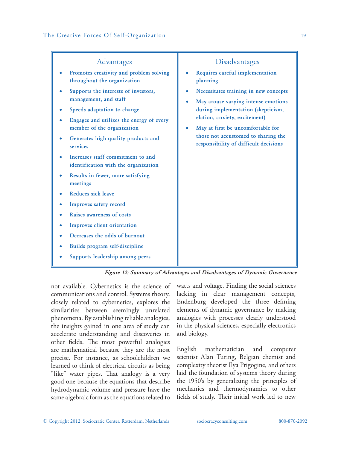| Advantages                                                                                                                                                                                                                                                     | Disadvantages                                                                                                                                                                                                                                                            |
|----------------------------------------------------------------------------------------------------------------------------------------------------------------------------------------------------------------------------------------------------------------|--------------------------------------------------------------------------------------------------------------------------------------------------------------------------------------------------------------------------------------------------------------------------|
| Promotes creativity and problem solving<br>throughout the organization                                                                                                                                                                                         | Requires careful implementation<br>planning                                                                                                                                                                                                                              |
| Supports the interests of investors,<br>management, and staff<br>Speeds adaptation to change<br>Engages and utilizes the energy of every<br>member of the organization<br>Generates high quality products and<br>services<br>Increases staff commitment to and | Necessitates training in new concepts<br>May arouse varying intense emotions<br>during implementation (skepticism,<br>elation, anxiety, excitement)<br>May at first be uncomfortable for<br>those not accustomed to sharing the<br>responsibility of difficult decisions |
| identification with the organization<br>Results in fewer, more satisfying<br>meetings                                                                                                                                                                          |                                                                                                                                                                                                                                                                          |
| Reduces sick leave                                                                                                                                                                                                                                             |                                                                                                                                                                                                                                                                          |
| Improves safety record                                                                                                                                                                                                                                         |                                                                                                                                                                                                                                                                          |
| Raises awareness of costs                                                                                                                                                                                                                                      |                                                                                                                                                                                                                                                                          |
| Improves client orientation                                                                                                                                                                                                                                    |                                                                                                                                                                                                                                                                          |
| Decreases the odds of burnout                                                                                                                                                                                                                                  |                                                                                                                                                                                                                                                                          |
| Builds program self-discipline                                                                                                                                                                                                                                 |                                                                                                                                                                                                                                                                          |
| Supports leadership among peers                                                                                                                                                                                                                                |                                                                                                                                                                                                                                                                          |

*Figure 12: Summary of Advantages and Disadvantages of Dynamic Governance* 

not available. Cybernetics is the science of communications and control. Systems theory, closely related to cybernetics, explores the similarities between seemingly unrelated phenomena. By establishing reliable analogies, the insights gained in one area of study can accelerate understanding and discoveries in other fields. The most powerful analogies are mathematical because they are the most precise. For instance, as schoolchildren we learned to think of electrical circuits as being "like" water pipes. That analogy is a very good one because the equations that describe hydrodynamic volume and pressure have the same algebraic form as the equations related to

watts and voltage. Finding the social sciences lacking in clear management concepts, Endenburg developed the three defining elements of dynamic governance by making analogies with processes clearly understood in the physical sciences, especially electronics and biology.

English mathematician and computer scientist Alan Turing, Belgian chemist and complexity theorist Ilya Prigogine, and others laid the foundation of systems theory during the 1950's by generalizing the principles of mechanics and thermodynamics to other fields of study. Their initial work led to new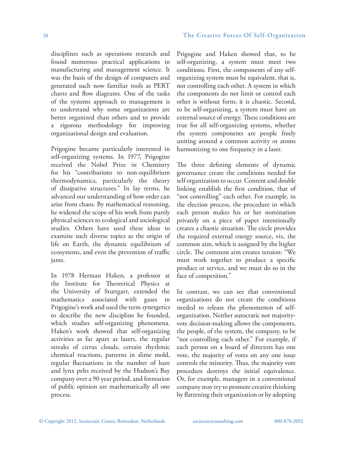disciplines such as operations research and found numerous practical applications in manufacturing and management science. It was the basis of the design of computers and generated such now familiar tools as PERT charts and flow diagrams. One of the tasks of the systems approach to management is to understand why some organizations are better organized than others and to provide a rigorous methodology for improving organizational design and evaluation.

Prigogine became particularly interested in self-organizing systems. In 1977, Prigogine received the Nobel Prize in Chemistry for his "contributions to non-equilibrium thermodynamics, particularly the theory of dissipative structures." In lay terms, he advanced our understanding of how order can arise from chaos. By mathematical reasoning, he widened the scope of his work from purely physical sciences to ecological and sociological studies. Others have used these ideas to examine such diverse topics as the origin of life on Earth, the dynamic equilibrium of ecosystems, and even the prevention of traffic jams.

In 1978 Herman Haken, a professor at the Institute for Theoretical Physics at the University of Stuttgart, extended the mathematics associated with gases in Prigogine's work and used the term *synergetics* to describe the new discipline he founded, which studies self-organizing phenomena. Haken's work showed that self-organizing activities as far apart as lasers, the regular streaks of cirrus clouds, certain rhythmic chemical reactions, patterns in slime mold, regular fluctuations in the number of hare and lynx pelts received by the Hudson's Bay company over a 90 year period, and formation of public opinion are mathematically all one process.

Prigogine and Haken showed that, to be self-organizing, a system must meet two conditions. First, the components of any selforganizing system must be equivalent, that is, not controlling each other. A system in which the components do not limit or control each other is without form; it is chaotic. Second, to be self-organizing, a system must have an external source of energy. These conditions are true for all self-organizing systems, whether the system components are people freely uniting around a common activity or atoms harmonizing to one frequency in a laser.

The three defining elements of dynamic governance create the conditions needed for self organization to occur. Consent and double linking establish the first condition, that of "not controlling" each other. For example, in the election process, the procedure in which each person makes his or her nomination privately on a piece of paper intentionally creates a chaotic situation. The circle provides the required external energy source, viz, the common aim, which is assigned by the higher circle. The common aim creates tension: "We must work together to produce a specific product or service, and we must do so in the face of competition."

In contrast, we can see that conventional organizations do not create the conditions needed to release the phenomenon of selforganization. Neither autocratic nor majorityvote decision-making allows the components, the people, of the system, the company, to be "not controlling each other." For example, if each person on a board of directors has one vote, the majority of votes on any one issue controls the minority. Thus, the majority vote procedure destroys the initial equivalence. Or, for example, managers in a conventional company may try to promote creative thinking by flattening their organization or by adopting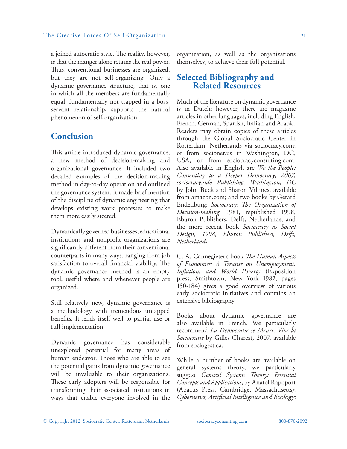a joined autocratic style. The reality, however, is that the manger alone retains the real power. Thus, conventional businesses are organized, but they are not self-organizing. Only a dynamic governance structure, that is, one in which all the members are fundamentally equal, fundamentally not trapped in a bossservant relationship, supports the natural phenomenon of self-organization.

### **Conclusion**

This article introduced dynamic governance, a new method of decision-making and organizational governance. It included two detailed examples of the decision-making method in day-to-day operation and outlined the governance system. It made brief mention of the discipline of dynamic engineering that develops existing work processes to make them more easily steered.

Dynamically governed businesses, educational institutions and nonprofit organizations are significantly different from their conventional counterparts in many ways, ranging from job satisfaction to overall financial viability. The dynamic governance method is an empty tool, useful where and whenever people are organized.

Still relatively new, dynamic governance is a methodology with tremendous untapped benefits. It lends itself well to partial use or full implementation.

Dynamic governance has considerable unexplored potential for many areas of human endeavor. Those who are able to see the potential gains from dynamic governance will be invaluable to their organizations. These early adopters will be responsible for transforming their associated institutions in ways that enable everyone involved in the organization, as well as the organizations themselves, to achieve their full potential.

## **Selected Bibliography and Related Resources**

Much of the literature on dynamic governance is in Dutch; however, there are magazine articles in other languages, including English, French, German, Spanish, Italian and Arabic. Readers may obtain copies of these articles through the Global Sociocratic Center in Rotterdam, Netherlands via sociocracy.com; or from socionet.us in Washington, DC, USA; or from sociocracyconsulting.com. Also available in English are *We the People: Consenting to a Deeper Democracy, 2007, sociocracy.info Publishing, Washington, DC* by John Buck and Sharon Villines, available from amazon.com; and two books by Gerard Endenburg: *Sociocracy: The Organization of Decision-making*, 1981, republished 1998, Eburon Publishers, Delft, Netherlands; and the more recent book *Sociocracy as Social Design, 1998, Eburon Publishers, Delft, Netherlands*.

C. A. Cannegieter's book *The Human Aspects of Economics: A Treatise on Unemployment, Inflation, and World Poverty* (Exposition press, Smithtown, New York 1982, pages 150-184) gives a good overview of various early sociocratic initiatives and contains an extensive bibliography.

Books about dynamic governance are also available in French. We particularly recommend *La Democratie se Meurt, Vive la Sociocratie* by Gilles Charest, 2007, available from sociogest.ca.

While a number of books are available on general systems theory, we particularly suggest *General Systems Theory: Essential Concepts and Applications*, by Anatol Rapoport (Abacus Press, Cambridge, Massachusetts); *Cybernetics, Artificial Intelligence and Ecology:*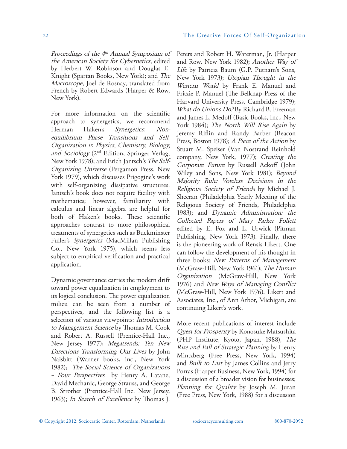*Proceedings of the 4th Annual Symposium of the American Society for Cybernetics*, edited by Herbert W. Robinson and Douglas E. Knight (Spartan Books, New York); and *The Macroscope*, Joel de Rosnay, translated from French by Robert Edwards (Harper & Row, New York).

For more information on the scientific approach to synergetics, we recommend Herman Haken's *Synergetics: Nonequilibrium Phase Transitions and Self-Organization in Physics, Chemistry, Biology, and Sociology* (2nd Edition, Springer Verlag, New York 1978); and Erich Jantsch's *The Self-Organizing Universe* (Pergamon Press, New York 1979), which discusses Prigogine's work with self-organizing dissipative structures. Jantsch's book does not require facility with mathematics; however, familiarity with calculus and linear algebra are helpful for both of Haken's books. These scientific approaches contrast to more philosophical treatments of synergetics such as Buckminster Fuller's *Synergetics* (MacMillan Publishing Co., New York 1975), which seems less subject to empirical verification and practical application.

Dynamic governance carries the modern drift toward power equalization in employment to its logical conclusion. The power equalization milieu can be seen from a number of perspectives, and the following list is a selection of various viewpoints: *Introduction to Management Science* by Thomas M. Cook and Robert A. Russell (Prentice-Hall Inc., New Jersey 1977); *Megatrends: Ten New Directions Transforming Our Lives* by John Naisbitt (Warner books, inc., New York 1982); *The Social Science of Organizations – Four Perspectives* by Henry A. Latane, David Mechanic, George Strauss, and George B. Strother (Prentice-Hall Inc. New Jersey, 1963); *In Search of Excellence* by Thomas J.

Peters and Robert H. Waterman, Jr. (Harper and Row, New York 1982); *Another Way of Life* by Patricia Baum (G.P. Putnam's Sons, New York 1973); *Utopian Thought in the Western World* by Frank E. Manuel and Fritzie P. Manuel (The Belknap Press of the Harvard University Press, Cambridge 1979); *What do Unions Do?* By Richard B. Freeman and James L. Medoff (Basic Books, Inc., New York 1984); *The North Will Rise Again* by Jeremy Riflin and Randy Barber (Beacon Press, Boston 1978); *A Piece of the Action* by Stuart M. Speiser (Van Nostrand Reinhold company, New York, 1977); *Creating the Corporate Future* by Russell Ackoff (John Wiley and Sons, New York 1981); *Beyond Majority Rule: Voteless Decisions in the Religious Society of Friends* by Michael J. Sheeran (Philadelphia Yearly Meeting of the Religious Society of Friends, Philadelphia 1983); and *Dynamic Administration: the Collected Papers of Mary Parker Follett*  edited by E. Fox and L. Urwick (Pitman Publishing, New York 1973). Finally, there is the pioneering work of Rensis Likert. One can follow the development of his thought in three books: *New Patterns of Management* (McGraw-Hill, New York 1961); *The Human Organization* (McGraw-Hill, New York 1976) and *New Ways of Managing Conflict* (McGraw-Hill, New York 1976). Likert and Associates, Inc., of Ann Arbor, Michigan, are continuing Likert's work.

More recent publications of interest include *Quest for Prosperity* by Konosuke Matsushita (PHP Institute, Kyoto, Japan, 1988), *The Rise and Fall of Strategic Planning* by Henry Mintzberg (Free Press, New York, 1994) and *Built to Last* by James Collins and Jerry Porras (Harper Business, New York, 1994) for a discussion of a broader vision for businesses; *Planning for Quality* by Joseph M. Juran (Free Press, New York, 1988) for a discussion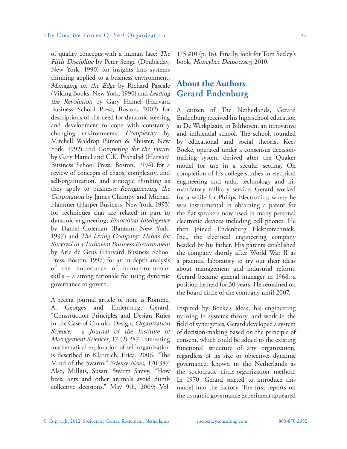of quality concepts with a human face; *The Fifth Discipline* by Peter Senge (Doubleday, New York, 1990) for insights into systems thinking applied to a business environment; *Managing on the Edge* by Richard Pascale (Viking Books, New York, 1990) and *Leading the Revolution* by Gary Hamel (Harvard Business School Press, Boston, 2002) for descriptions of the need for dynamic steering and development to cope with constantly changing environments; *Complexity* by Mitchell Waldrop (Simon & Shuster, New York, 1992) and *Competing for the Future*  by Gary Hamel and C.K. Prahalad (Harvard Business School Press, Boston, 1994) for a review of concepts of chaos, complexity, and self-organization, and strategic thinking as they apply to business; *Reengineering the Corporation* by James Champy and Michael Hammer (Harper Business, New York, 1993) for techniques that are related in part to dynamic engineering; *Emotional Intelligence*  by Daniel Goleman (Bantam, New York, 1997) and *The Living Company: Habits for Survival in a Turbulent Business Environment*  by Arie de Geus (Harvard Business School Press, Boston, 1997) for an in-depth analysis of the importance of human-to-human skills – a strong rationale for using dynamic governance to govern.

A recent journal article of note is Romme, A. Georges and Endenburg, Gerard, "Construction Principles and Design Rules in the Case of Circular Design, *Organization Science: a Journal of the Institute of Management Sciences,* 17 (2):287. Interesting mathematical exploration of self-organization is described in Klarreich, Erica. 2006. "The Mind of the Swarm," *Science News,* 170:347. Also, Millius, Susan, Swarm Savvy, "How bees, ants and other animals avoid dumb collective decisions," May 9th, 2009; Vol.

175 #10 (p. 16). Finally, look for Tom Seeley's book, *Honeybee Democracy,* 2010.

### **About the Authors Gerard Endenburg**

A citizen of The Netherlands, Gerard Endenburg received his high school education at De Werkplaats, in Bilthoven, an innovative and influential school. The school, founded by educational and social theorist Kees Boeke, operated under a consensus decisionmaking system derived after the Quaker model for use in a secular setting. On completion of his college studies in electrical engineering and radar technology and his mandatory military service, Gerard worked for a while for Philips Electronics, where he was instrumental in obtaining a patent for the flat speakers now used in many personal electronic devices including cell phones. He then joined Endenburg Elektrotechniek, Inc., the electrical engineering company headed by his father. His parents established the company shortly after World War II as a practical laboratory to try out their ideas about management and industrial reform. Gerard became general manager in 1968, a position he held for 30 years. He remained on the board circle of the company until 2007.

Inspired by Boeke's ideas, his engineering training in systems theory, and work in the field of synergetics, Gerard developed a system of decision-making based on the principle of consent, which could be added to the existing functional structure of any organization, regardless of its size or objective: dynamic governance, known in the Netherlands as the sociocratic circle-organization method. In 1970, Gerard started to introduce this model into the factory. The first reports on the dynamic governance experiment appeared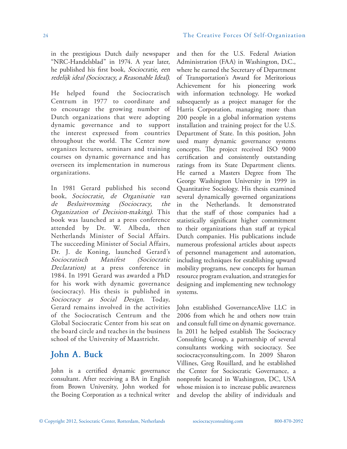in the prestigious Dutch daily newspaper "NRC-Handelsblad" in 1974. A year later, he published his first book, *Sociocratie, een redelijk ideal (Sociocracy, a Reasonable Ideal).*

He helped found the Sociocratisch Centrum in 1977 to coordinate and to encourage the growing number of Dutch organizations that were adopting dynamic governance and to support the interest expressed from countries throughout the world. The Center now organizes lectures, seminars and training courses on dynamic governance and has overseen its implementation in numerous organizations.

In 1981 Gerard published his second book, *Sociocratie, de Organisatie van de Besluitvorming (Sociocracy, the Organization of Decision-making).* This book was launched at a press conference attended by Dr. W. Albeda, then Netherlands Minister of Social Affairs. The succeeding Minister of Social Affairs, Dr. J. de Koning, launched Gerard's *Sociocratisch Manifest (Sociocratic Declaration)* at a press conference in 1984. In 1991 Gerard was awarded a PhD for his work with dynamic governance (sociocracy). His thesis is published in *Sociocracy as Social Design.* Today, Gerard remains involved in the activities of the Sociocratisch Centrum and the Global Sociocratic Center from his seat on the board circle and teaches in the business school of the University of Maastricht.

### **John A. Buck**

John is a certified dynamic governance consultant. After receiving a BA in English from Brown University, John worked for the Boeing Corporation as a technical writer and then for the U.S. Federal Aviation Administration (FAA) in Washington, D.C., where he earned the Secretary of Department of Transportation's Award for Meritorious Achievement for his pioneering work with information technology. He worked subsequently as a project manager for the Harris Corporation, managing more than 200 people in a global information systems installation and training project for the U.S. Department of State. In this position, John used many dynamic governance systems concepts. The project received ISO 9000 certification and consistently outstanding ratings from its State Department clients. He earned a Masters Degree from The George Washington University in 1999 in Quantitative Sociology. His thesis examined several dynamically governed organizations in the Netherlands. It demonstrated that the staff of those companies had a statistically significant higher commitment to their organizations than staff at typical Dutch companies. His publications include numerous professional articles about aspects of personnel management and automation, including techniques for establishing upward mobility programs, new concepts for human resource program evaluation, and strategies for designing and implementing new technology systems.

John established GovernanceAlive LLC in 2006 from which he and others now train and consult full time on dynamic governance. In 2011 he helped establish The Sociocracy Consulting Group, a partnership of several consultants working with sociocracy. See sociocracyconsulting.com. In 2009 Sharon Villines, Greg Rouillard, and he established the Center for Sociocratic Governance, a nonprofit located in Washington, DC, USA whose mission is to increase public awareness and develop the ability of individuals and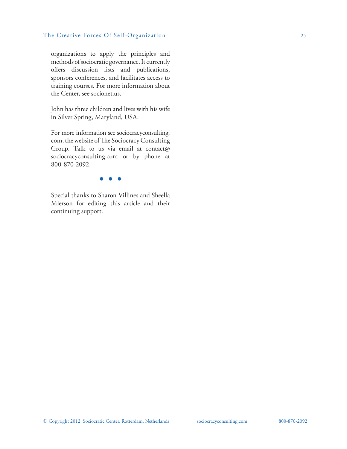### The Creative Forces Of Self-Organization 25

organizations to apply the principles and methods of sociocratic governance. It currently offers discussion lists and publications, sponsors conferences, and facilitates access to training courses. For more information about the Center, see socionet.us.

John has three children and lives with his wife in Silver Spring, Maryland, USA.

For more information see sociocracyconsulting. com, the website of The Sociocracy Consulting Group. Talk to us via email at contact@ sociocracyconsulting.com or by phone at 800-870-2092.

### $\bullet$   $\bullet$

Special thanks to Sharon Villines and Sheella Mierson for editing this article and their continuing support.